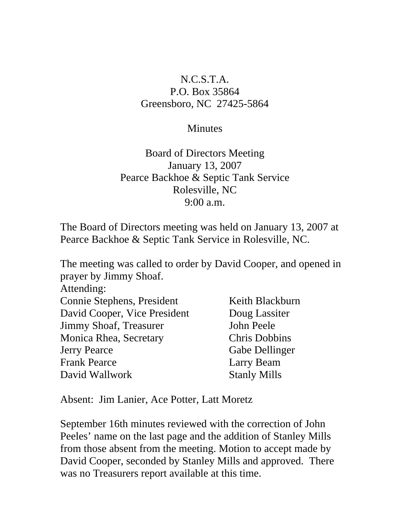## N.C.S.T.A. P.O. Box 35864 Greensboro, NC 27425-5864

## **Minutes**

## Board of Directors Meeting January 13, 2007 Pearce Backhoe & Septic Tank Service Rolesville, NC 9:00 a.m.

The Board of Directors meeting was held on January 13, 2007 at Pearce Backhoe & Septic Tank Service in Rolesville, NC.

The meeting was called to order by David Cooper, and opened in prayer by Jimmy Shoaf. Attending: Connie Stephens, President Keith Blackburn David Cooper, Vice President Doug Lassiter Jimmy Shoaf, Treasurer John Peele Monica Rhea, Secretary Chris Dobbins Jerry Pearce Gabe Dellinger Frank Pearce Larry Beam David Wallwork Stanly Mills

Absent: Jim Lanier, Ace Potter, Latt Moretz

September 16th minutes reviewed with the correction of John Peeles' name on the last page and the addition of Stanley Mills from those absent from the meeting. Motion to accept made by David Cooper, seconded by Stanley Mills and approved. There was no Treasurers report available at this time.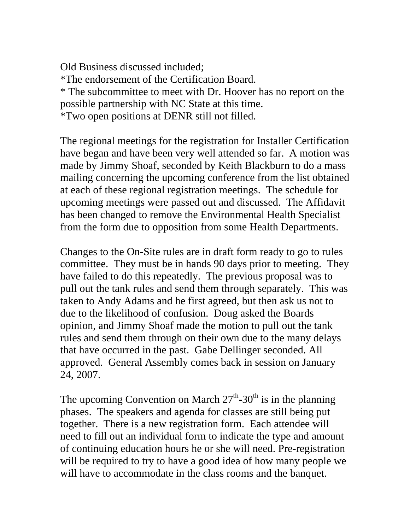Old Business discussed included; \*The endorsement of the Certification Board. \* The subcommittee to meet with Dr. Hoover has no report on the possible partnership with NC State at this time. \*Two open positions at DENR still not filled.

The regional meetings for the registration for Installer Certification have began and have been very well attended so far. A motion was made by Jimmy Shoaf, seconded by Keith Blackburn to do a mass mailing concerning the upcoming conference from the list obtained at each of these regional registration meetings. The schedule for upcoming meetings were passed out and discussed. The Affidavit has been changed to remove the Environmental Health Specialist from the form due to opposition from some Health Departments.

Changes to the On-Site rules are in draft form ready to go to rules committee. They must be in hands 90 days prior to meeting. They have failed to do this repeatedly. The previous proposal was to pull out the tank rules and send them through separately. This was taken to Andy Adams and he first agreed, but then ask us not to due to the likelihood of confusion. Doug asked the Boards opinion, and Jimmy Shoaf made the motion to pull out the tank rules and send them through on their own due to the many delays that have occurred in the past. Gabe Dellinger seconded. All approved. General Assembly comes back in session on January 24, 2007.

The upcoming Convention on March  $27<sup>th</sup>$ -30<sup>th</sup> is in the planning phases. The speakers and agenda for classes are still being put together. There is a new registration form. Each attendee will need to fill out an individual form to indicate the type and amount of continuing education hours he or she will need. Pre-registration will be required to try to have a good idea of how many people we will have to accommodate in the class rooms and the banquet.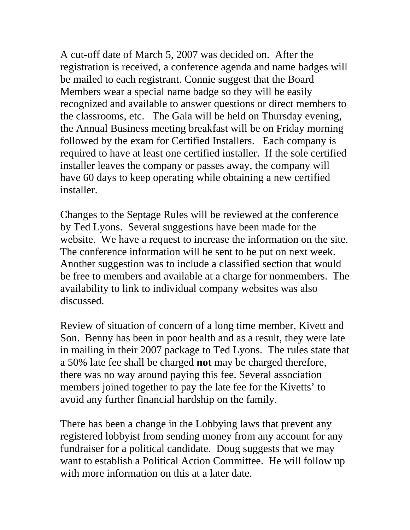A cut-off date of March 5, 2007 was decided on. After the registration is received, a conference agenda and name badges will be mailed to each registrant. Connie suggest that the Board Members wear a special name badge so they will be easily recognized and available to answer questions or direct members to the classrooms, etc. The Gala will be held on Thursday evening, the Annual Business meeting breakfast will be on Friday morning followed by the exam for Certified Installers. Each company is required to have at least one certified installer. If the sole certified installer leaves the company or passes away, the company will have 60 days to keep operating while obtaining a new certified installer.

Changes to the Septage Rules will be reviewed at the conference by Ted Lyons. Several suggestions have been made for the website. We have a request to increase the information on the site. The conference information will be sent to be put on next week. Another suggestion was to include a classified section that would be free to members and available at a charge for nonmembers. The availability to link to individual company websites was also discussed.

Review of situation of concern of a long time member, Kivett and Son. Benny has been in poor health and as a result, they were late in mailing in their 2007 package to Ted Lyons. The rules state that a 50% late fee shall be charged **not** may be charged therefore, there was no way around paying this fee. Several association members joined together to pay the late fee for the Kivetts' to avoid any further financial hardship on the family.

There has been a change in the Lobbying laws that prevent any registered lobbyist from sending money from any account for any fundraiser for a political candidate. Doug suggests that we may want to establish a Political Action Committee. He will follow up with more information on this at a later date.